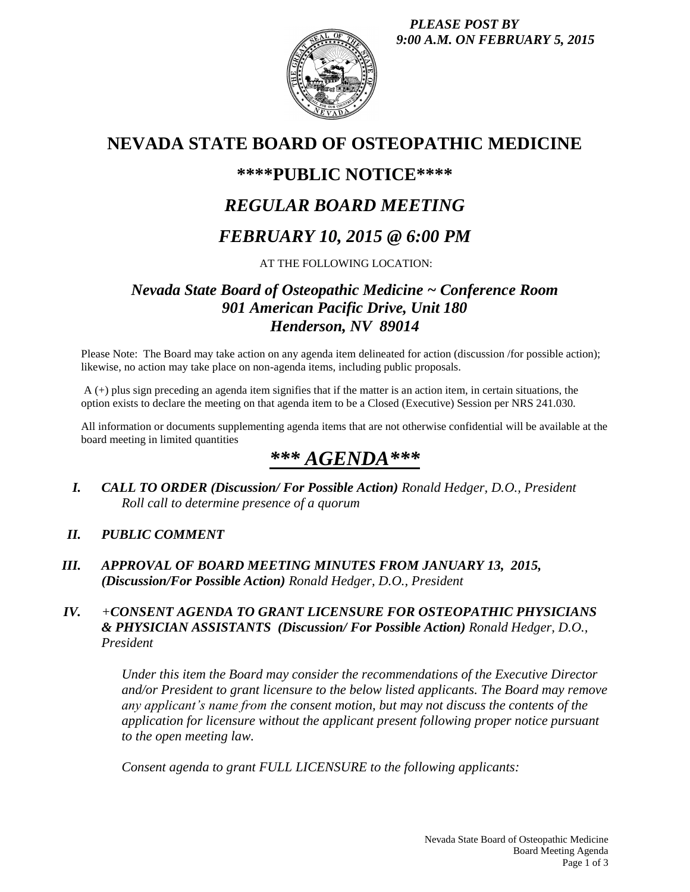*PLEASE POST BY 9:00 A.M. ON FEBRUARY 5, 2015*



# **NEVADA STATE BOARD OF OSTEOPATHIC MEDICINE**

### **\*\*\*\*PUBLIC NOTICE\*\*\*\***

# *REGULAR BOARD MEETING*

# *FEBRUARY 10, 2015 @ 6:00 PM*

### AT THE FOLLOWING LOCATION:

### *Nevada State Board of Osteopathic Medicine ~ Conference Room 901 American Pacific Drive, Unit 180 Henderson, NV 89014*

Please Note: The Board may take action on any agenda item delineated for action (discussion /for possible action); likewise, no action may take place on non-agenda items, including public proposals.

A (+) plus sign preceding an agenda item signifies that if the matter is an action item, in certain situations, the option exists to declare the meeting on that agenda item to be a Closed (Executive) Session per NRS 241.030.

All information or documents supplementing agenda items that are not otherwise confidential will be available at the board meeting in limited quantities

# *\*\*\* AGENDA\*\*\**

*I. CALL TO ORDER (Discussion/ For Possible Action) Ronald Hedger, D.O., President Roll call to determine presence of a quorum*

### *II. PUBLIC COMMENT*

*III. APPROVAL OF BOARD MEETING MINUTES FROM JANUARY 13, 2015, (Discussion/For Possible Action) Ronald Hedger, D.O., President*

#### *IV. +CONSENT AGENDA TO GRANT LICENSURE FOR OSTEOPATHIC PHYSICIANS & PHYSICIAN ASSISTANTS (Discussion/ For Possible Action) Ronald Hedger, D.O., President*

*Under this item the Board may consider the recommendations of the Executive Director and/or President to grant licensure to the below listed applicants. The Board may remove any applicant's name from the consent motion, but may not discuss the contents of the application for licensure without the applicant present following proper notice pursuant to the open meeting law.* 

*Consent agenda to grant FULL LICENSURE to the following applicants:*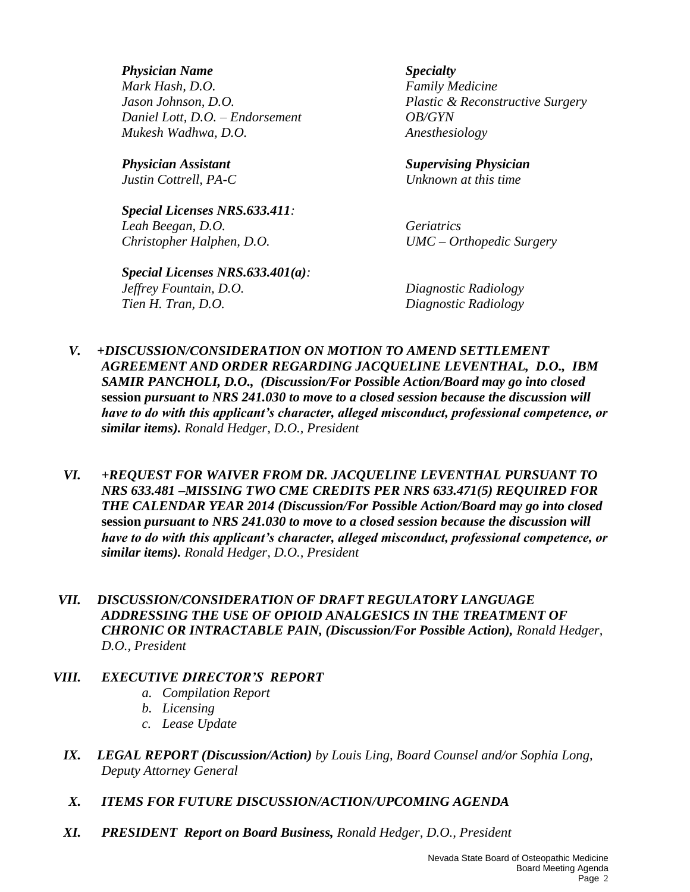*Physician Name Specialty Mark Hash, D.O. Family Medicine Daniel Lott, D.O. – Endorsement OB/GYN Mukesh Wadhwa, D.O. Anesthesiology*

*Special Licenses NRS.633.411: Leah Beegan, D.O. Geriatrics Christopher Halphen, D.O. UMC – Orthopedic Surgery*

*Special Licenses NRS.633.401(a): Jeffrey Fountain, D.O. Diagnostic Radiology Tien H. Tran, D.O. Diagnostic Radiology*

*Jason Johnson, D.O. Plastic & Reconstructive Surgery*

*Physician Assistant Supervising Physician Justin Cottrell, PA-C Unknown at this time*

- *V. +DISCUSSION/CONSIDERATION ON MOTION TO AMEND SETTLEMENT AGREEMENT AND ORDER REGARDING JACQUELINE LEVENTHAL, D.O., IBM SAMIR PANCHOLI, D.O., (Discussion/For Possible Action/Board may go into closed*  **session** *pursuant to NRS 241.030 to move to a closed session because the discussion will have to do with this applicant's character, alleged misconduct, professional competence, or similar items). Ronald Hedger, D.O., President*
- *VI. +REQUEST FOR WAIVER FROM DR. JACQUELINE LEVENTHAL PURSUANT TO NRS 633.481 –MISSING TWO CME CREDITS PER NRS 633.471(5) REQUIRED FOR THE CALENDAR YEAR 2014 (Discussion/For Possible Action/Board may go into closed* **session** *pursuant to NRS 241.030 to move to a closed session because the discussion will have to do with this applicant's character, alleged misconduct, professional competence, or similar items). Ronald Hedger, D.O., President*
- *VII. DISCUSSION/CONSIDERATION OF DRAFT REGULATORY LANGUAGE ADDRESSING THE USE OF OPIOID ANALGESICS IN THE TREATMENT OF CHRONIC OR INTRACTABLE PAIN, (Discussion/For Possible Action), Ronald Hedger, D.O., President*

#### *VIII. EXECUTIVE DIRECTOR'S REPORT*

- *a. Compilation Report*
- *b. Licensing*
- *c. Lease Update*
- *IX. LEGAL REPORT (Discussion/Action) by Louis Ling, Board Counsel and/or Sophia Long, Deputy Attorney General*
- *X. ITEMS FOR FUTURE DISCUSSION/ACTION/UPCOMING AGENDA*
- *XI. PRESIDENT Report on Board Business, Ronald Hedger, D.O., President*